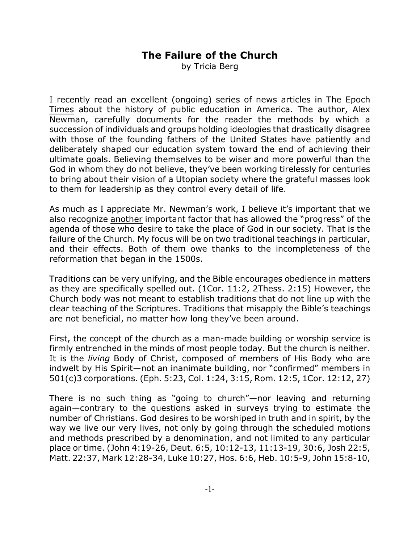## **The Failure of the Church**

by Tricia Berg

I recently read an excellent (ongoing) series of news articles in The Epoch Times about the history of public education in America. The author, Alex Newman, carefully documents for the reader the methods by which a succession of individuals and groups holding ideologies that drastically disagree with those of the founding fathers of the United States have patiently and deliberately shaped our education system toward the end of achieving their ultimate goals. Believing themselves to be wiser and more powerful than the God in whom they do not believe, they've been working tirelessly for centuries to bring about their vision of a Utopian society where the grateful masses look to them for leadership as they control every detail of life.

As much as I appreciate Mr. Newman's work, I believe it's important that we also recognize another important factor that has allowed the "progress" of the agenda of those who desire to take the place of God in our society. That is the failure of the Church. My focus will be on two traditional teachings in particular, and their effects. Both of them owe thanks to the incompleteness of the reformation that began in the 1500s.

Traditions can be very unifying, and the Bible encourages obedience in matters as they are specifically spelled out. (1Cor. 11:2, 2Thess. 2:15) However, the Church body was not meant to establish traditions that do not line up with the clear teaching of the Scriptures. Traditions that misapply the Bible's teachings are not beneficial, no matter how long they've been around.

First, the concept of the church as a man-made building or worship service is firmly entrenched in the minds of most people today. But the church is neither. It is the *living* Body of Christ, composed of members of His Body who are indwelt by His Spirit—not an inanimate building, nor "confirmed" members in 501(c)3 corporations. (Eph. 5:23, Col. 1:24, 3:15, Rom. 12:5, 1Cor. 12:12, 27)

There is no such thing as "going to church"—nor leaving and returning again—contrary to the questions asked in surveys trying to estimate the number of Christians. God desires to be worshiped in truth and in spirit, by the way we live our very lives, not only by going through the scheduled motions and methods prescribed by a denomination, and not limited to any particular place or time. (John 4:19-26, Deut. 6:5, 10:12-13, 11:13-19, 30:6, Josh 22:5, Matt. 22:37, Mark 12:28-34, Luke 10:27, Hos. 6:6, Heb. 10:5-9, John 15:8-10,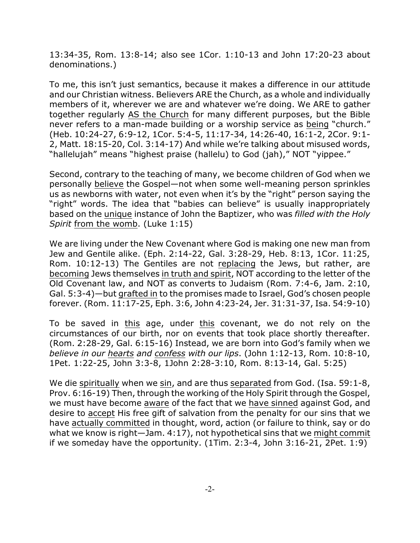13:34-35, Rom. 13:8-14; also see 1Cor. 1:10-13 and John 17:20-23 about denominations.)

To me, this isn't just semantics, because it makes a difference in our attitude and our Christian witness. Believers ARE the Church, as a whole and individually members of it, wherever we are and whatever we're doing. We ARE to gather together regularly AS the Church for many different purposes, but the Bible never refers to a man-made building or a worship service as being "church." (Heb. 10:24-27, 6:9-12, 1Cor. 5:4-5, 11:17-34, 14:26-40, 16:1-2, 2Cor. 9:1- 2, Matt. 18:15-20, Col. 3:14-17) And while we're talking about misused words, "hallelujah" means "highest praise (hallelu) to God (jah)," NOT "yippee."

Second, contrary to the teaching of many, we become children of God when we personally believe the Gospel—not when some well-meaning person sprinkles us as newborns with water, not even when it's by the "right" person saying the "right" words. The idea that "babies can believe" is usually inappropriately based on the unique instance of John the Baptizer, who was *filled with the Holy Spirit* from the womb. (Luke 1:15)

We are living under the New Covenant where God is making one new man from Jew and Gentile alike. (Eph. 2:14-22, Gal. 3:28-29, Heb. 8:13, 1Cor. 11:25, Rom. 10:12-13) The Gentiles are not replacing the Jews, but rather, are becoming Jews themselves in truth and spirit, NOT according to the letter of the Old Covenant law, and NOT as converts to Judaism (Rom. 7:4-6, Jam. 2:10, Gal. 5:3-4)—but grafted in to the promises made to Israel, God's chosen people forever. (Rom. 11:17-25, Eph. 3:6, John 4:23-24, Jer. 31:31-37, Isa. 54:9-10)

To be saved in this age, under this covenant, we do not rely on the circumstances of our birth, nor on events that took place shortly thereafter. (Rom. 2:28-29, Gal. 6:15-16) Instead, we are born into God's family when we *believe in our hearts and confess with our lips*. (John 1:12-13, Rom. 10:8-10, 1Pet. 1:22-25, John 3:3-8, 1John 2:28-3:10, Rom. 8:13-14, Gal. 5:25)

We die spiritually when we sin, and are thus separated from God. (Isa. 59:1-8, Prov. 6:16-19) Then, through the working of the Holy Spirit through the Gospel, we must have become aware of the fact that we have sinned against God, and desire to accept His free gift of salvation from the penalty for our sins that we have actually committed in thought, word, action (or failure to think, say or do what we know is right—Jam. 4:17), not hypothetical sins that we might commit if we someday have the opportunity. (1Tim. 2:3-4, John 3:16-21, 2Pet. 1:9)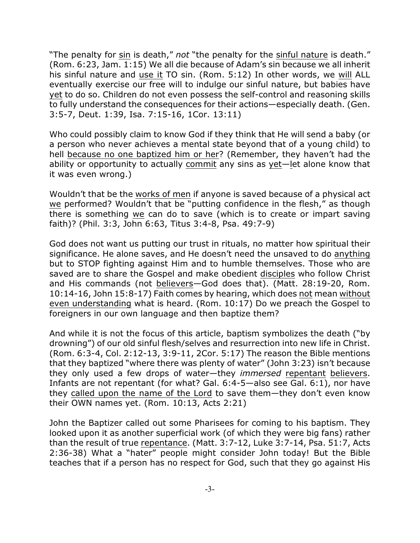"The penalty for sin is death," *not* "the penalty for the sinful nature is death." (Rom. 6:23, Jam. 1:15) We all die because of Adam's sin because we all inherit his sinful nature and use it TO sin. (Rom. 5:12) In other words, we will ALL eventually exercise our free will to indulge our sinful nature, but babies have yet to do so. Children do not even possess the self-control and reasoning skills to fully understand the consequences for their actions—especially death. (Gen. 3:5-7, Deut. 1:39, Isa. 7:15-16, 1Cor. 13:11)

Who could possibly claim to know God if they think that He will send a baby (or a person who never achieves a mental state beyond that of a young child) to hell because no one baptized him or her? (Remember, they haven't had the ability or opportunity to actually commit any sins as yet—let alone know that it was even wrong.)

Wouldn't that be the works of men if anyone is saved because of a physical act we performed? Wouldn't that be "putting confidence in the flesh," as though there is something we can do to save (which is to create or impart saving faith)? (Phil. 3:3, John 6:63, Titus 3:4-8, Psa. 49:7-9)

God does not want us putting our trust in rituals, no matter how spiritual their significance. He alone saves, and He doesn't need the unsaved to do anything but to STOP fighting against Him and to humble themselves. Those who are saved are to share the Gospel and make obedient disciples who follow Christ and His commands (not believers—God does that). (Matt. 28:19-20, Rom. 10:14-16, John 15:8-17) Faith comes by hearing, which does not mean without even understanding what is heard. (Rom. 10:17) Do we preach the Gospel to foreigners in our own language and then baptize them?

And while it is not the focus of this article, baptism symbolizes the death ("by drowning") of our old sinful flesh/selves and resurrection into new life in Christ. (Rom. 6:3-4, Col. 2:12-13, 3:9-11, 2Cor. 5:17) The reason the Bible mentions that they baptized "where there was plenty of water" (John 3:23) isn't because they only used a few drops of water—they *immersed* repentant believers. Infants are not repentant (for what? Gal. 6:4-5—also see Gal. 6:1), nor have they called upon the name of the Lord to save them—they don't even know their OWN names yet. (Rom. 10:13, Acts 2:21)

John the Baptizer called out some Pharisees for coming to his baptism. They looked upon it as another superficial work (of which they were big fans) rather than the result of true repentance. (Matt. 3:7-12, Luke 3:7-14, Psa. 51:7, Acts 2:36-38) What a "hater" people might consider John today! But the Bible teaches that if a person has no respect for God, such that they go against His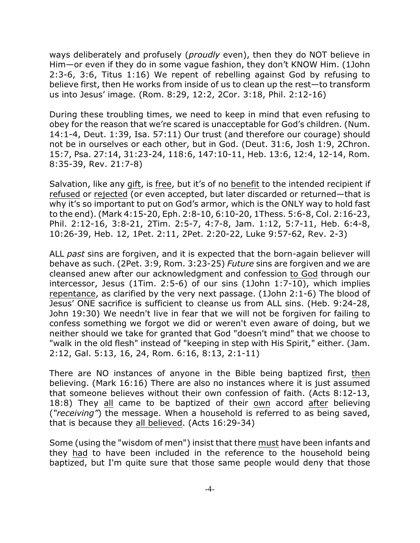ways deliberately and profusely (*proudly* even), then they do NOT believe in Him—or even if they do in some vague fashion, they don't KNOW Him. (1John 2:3-6, 3:6, Titus 1:16) We repent of rebelling against God by refusing to believe first, then He works from inside of us to clean up the rest—to transform us into Jesus' image. (Rom. 8:29, 12:2, 2Cor. 3:18, Phil. 2:12-16)

During these troubling times, we need to keep in mind that even refusing to obey for the reason that we're scared is unacceptable for God's children. (Num. 14:1-4, Deut. 1:39, Isa. 57:11) Our trust (and therefore our courage) should not be in ourselves or each other, but in God. (Deut. 31:6, Josh 1:9, 2Chron. 15:7, Psa. 27:14, 31:23-24, 118:6, 147:10-11, Heb. 13:6, 12:4, 12-14, Rom. 8:35-39, Rev. 21:7-8)

Salvation, like any gift, is free, but it's of no benefit to the intended recipient if refused or rejected (or even accepted, but later discarded or returned—that is why it's so important to put on God's armor, which is the ONLY way to hold fast to the end). (Mark 4:15-20, Eph. 2:8-10, 6:10-20, 1Thess. 5:6-8, Col. 2:16-23, Phil. 2:12-16, 3:8-21, 2Tim. 2:5-7, 4:7-8, Jam. 1:12, 5:7-11, Heb. 6:4-8, 10:26-39, Heb. 12, 1Pet. 2:11, 2Pet. 2:20-22, Luke 9:57-62, Rev. 2-3)

ALL *past* sins are forgiven, and it is expected that the born-again believer will behave as such. (2Pet. 3:9, Rom. 3:23-25) *Future* sins are forgiven and we are cleansed anew after our acknowledgment and confession to God through our intercessor, Jesus (1Tim. 2:5-6) of our sins (1John 1:7-10), which implies repentance, as clarified by the very next passage. (1John 2:1-6) The blood of Jesus' ONE sacrifice is sufficient to cleanse us from ALL sins. (Heb. 9:24-28, John 19:30) We needn't live in fear that we will not be forgiven for failing to confess something we forgot we did or weren't even aware of doing, but we neither should we take for granted that God "doesn't mind" that we choose to "walk in the old flesh" instead of "keeping in step with His Spirit," either. (Jam. 2:12, Gal. 5:13, 16, 24, Rom. 6:16, 8:13, 2:1-11)

There are NO instances of anyone in the Bible being baptized first, then believing. (Mark 16:16) There are also no instances where it is just assumed that someone believes without their own confession of faith. (Acts 8:12-13, 18:8) They all came to be baptized of their own accord after believing (*"receiving"*) the message. When a household is referred to as being saved, that is because they all believed. (Acts 16:29-34)

Some (using the "wisdom of men") insist that there must have been infants and they had to have been included in the reference to the household being baptized, but I'm quite sure that those same people would deny that those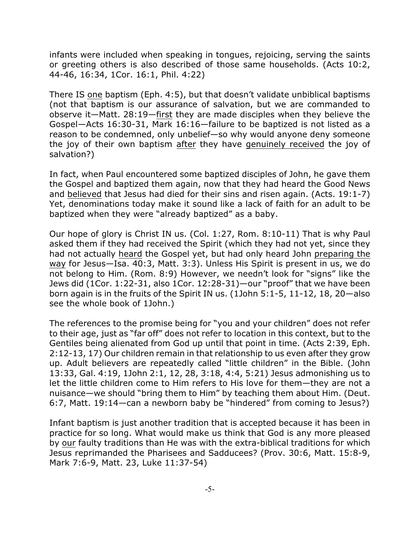infants were included when speaking in tongues, rejoicing, serving the saints or greeting others is also described of those same households. (Acts 10:2, 44-46, 16:34, 1Cor. 16:1, Phil. 4:22)

There IS one baptism (Eph. 4:5), but that doesn't validate unbiblical baptisms (not that baptism is our assurance of salvation, but we are commanded to observe it—Matt. 28:19—first they are made disciples when they believe the Gospel—Acts 16:30-31, Mark 16:16—failure to be baptized is not listed as a reason to be condemned, only unbelief—so why would anyone deny someone the joy of their own baptism after they have genuinely received the joy of salvation?)

In fact, when Paul encountered some baptized disciples of John, he gave them the Gospel and baptized them again, now that they had heard the Good News and believed that Jesus had died for their sins and risen again. (Acts. 19:1-7) Yet, denominations today make it sound like a lack of faith for an adult to be baptized when they were "already baptized" as a baby.

Our hope of glory is Christ IN us. (Col. 1:27, Rom. 8:10-11) That is why Paul asked them if they had received the Spirit (which they had not yet, since they had not actually heard the Gospel yet, but had only heard John preparing the way for Jesus—Isa. 40:3, Matt. 3:3). Unless His Spirit is present in us, we do not belong to Him. (Rom. 8:9) However, we needn't look for "signs" like the Jews did (1Cor. 1:22-31, also 1Cor. 12:28-31)—our "proof" that we have been born again is in the fruits of the Spirit IN us. (1John 5:1-5, 11-12, 18, 20—also see the whole book of 1John.)

The references to the promise being for "you and your children" does not refer to their age, just as "far off" does not refer to location in this context, but to the Gentiles being alienated from God up until that point in time. (Acts 2:39, Eph. 2:12-13, 17) Our children remain in that relationship to us even after they grow up. Adult believers are repeatedly called "little children" in the Bible. (John 13:33, Gal. 4:19, 1John 2:1, 12, 28, 3:18, 4:4, 5:21) Jesus admonishing us to let the little children come to Him refers to His love for them—they are not a nuisance—we should "bring them to Him" by teaching them about Him. (Deut. 6:7, Matt. 19:14—can a newborn baby be "hindered" from coming to Jesus?)

Infant baptism is just another tradition that is accepted because it has been in practice for so long. What would make us think that God is any more pleased by our faulty traditions than He was with the extra-biblical traditions for which Jesus reprimanded the Pharisees and Sadducees? (Prov. 30:6, Matt. 15:8-9, Mark 7:6-9, Matt. 23, Luke 11:37-54)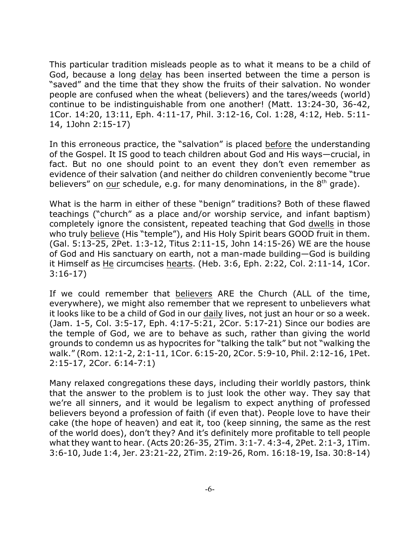This particular tradition misleads people as to what it means to be a child of God, because a long delay has been inserted between the time a person is "saved" and the time that they show the fruits of their salvation. No wonder people are confused when the wheat (believers) and the tares/weeds (world) continue to be indistinguishable from one another! (Matt. 13:24-30, 36-42, 1Cor. 14:20, 13:11, Eph. 4:11-17, Phil. 3:12-16, Col. 1:28, 4:12, Heb. 5:11- 14, 1John 2:15-17)

In this erroneous practice, the "salvation" is placed before the understanding of the Gospel. It IS good to teach children about God and His ways—crucial, in fact. But no one should point to an event they don't even remember as evidence of their salvation (and neither do children conveniently become "true believers" on our schedule, e.g. for many denominations, in the 8<sup>th</sup> grade).

What is the harm in either of these "benign" traditions? Both of these flawed teachings ("church" as a place and/or worship service, and infant baptism) completely ignore the consistent, repeated teaching that God dwells in those who truly believe (His "temple"), and His Holy Spirit bears GOOD fruit in them. (Gal. 5:13-25, 2Pet. 1:3-12, Titus 2:11-15, John 14:15-26) WE are the house of God and His sanctuary on earth, not a man-made building—God is building it Himself as He circumcises hearts. (Heb. 3:6, Eph. 2:22, Col. 2:11-14, 1Cor. 3:16-17)

If we could remember that believers ARE the Church (ALL of the time, everywhere), we might also remember that we represent to unbelievers what it looks like to be a child of God in our daily lives, not just an hour or so a week. (Jam. 1-5, Col. 3:5-17, Eph. 4:17-5:21, 2Cor. 5:17-21) Since our bodies are the temple of God, we are to behave as such, rather than giving the world grounds to condemn us as hypocrites for "talking the talk" but not "walking the walk." (Rom. 12:1-2, 2:1-11, 1Cor. 6:15-20, 2Cor. 5:9-10, Phil. 2:12-16, 1Pet. 2:15-17, 2Cor. 6:14-7:1)

Many relaxed congregations these days, including their worldly pastors, think that the answer to the problem is to just look the other way. They say that we're all sinners, and it would be legalism to expect anything of professed believers beyond a profession of faith (if even that). People love to have their cake (the hope of heaven) and eat it, too (keep sinning, the same as the rest of the world does), don't they? And it's definitely more profitable to tell people what they want to hear. (Acts 20:26-35, 2Tim. 3:1-7. 4:3-4, 2Pet. 2:1-3, 1Tim. 3:6-10, Jude 1:4, Jer. 23:21-22, 2Tim. 2:19-26, Rom. 16:18-19, Isa. 30:8-14)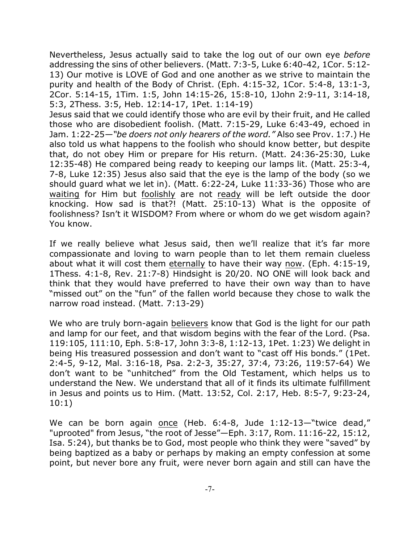Nevertheless, Jesus actually said to take the log out of our own eye *before* addressing the sins of other believers. (Matt. 7:3-5, Luke 6:40-42, 1Cor. 5:12- 13) Our motive is LOVE of God and one another as we strive to maintain the purity and health of the Body of Christ. (Eph. 4:15-32, 1Cor. 5:4-8, 13:1-3, 2Cor. 5:14-15, 1Tim. 1:5, John 14:15-26, 15:8-10, 1John 2:9-11, 3:14-18, 5:3, 2Thess. 3:5, Heb. 12:14-17, 1Pet. 1:14-19)

Jesus said that we could identify those who are evil by their fruit, and He called those who are disobedient foolish. (Matt. 7:15-29, Luke 6:43-49, echoed in Jam. 1:22-25*—"be doers not only hearers of the word."* Also see Prov. 1:7.) He also told us what happens to the foolish who should know better, but despite that, do not obey Him or prepare for His return. (Matt. 24:36-25:30, Luke 12:35-48) He compared being ready to keeping our lamps lit. (Matt. 25:3-4, 7-8, Luke 12:35) Jesus also said that the eye is the lamp of the body (so we should guard what we let in). (Matt. 6:22-24, Luke 11:33-36) Those who are waiting for Him but foolishly are not ready will be left outside the door knocking. How sad is that?! (Matt. 25:10-13) What is the opposite of foolishness? Isn't it WISDOM? From where or whom do we get wisdom again? You know.

If we really believe what Jesus said, then we'll realize that it's far more compassionate and loving to warn people than to let them remain clueless about what it will cost them eternally to have their way now. (Eph. 4:15-19, 1Thess. 4:1-8, Rev. 21:7-8) Hindsight is 20/20. NO ONE will look back and think that they would have preferred to have their own way than to have "missed out" on the "fun" of the fallen world because they chose to walk the narrow road instead. (Matt. 7:13-29)

We who are truly born-again believers know that God is the light for our path and lamp for our feet, and that wisdom begins with the fear of the Lord. (Psa. 119:105, 111:10, Eph. 5:8-17, John 3:3-8, 1:12-13, 1Pet. 1:23) We delight in being His treasured possession and don't want to "cast off His bonds." (1Pet. 2:4-5, 9-12, Mal. 3:16-18, Psa. 2:2-3, 35:27, 37:4, 73:26, 119:57-64) We don't want to be "unhitched" from the Old Testament, which helps us to understand the New. We understand that all of it finds its ultimate fulfillment in Jesus and points us to Him. (Matt. 13:52, Col. 2:17, Heb. 8:5-7, 9:23-24, 10:1)

We can be born again once (Heb. 6:4-8, Jude 1:12-13-"twice dead," "uprooted" from Jesus, "the root of Jesse"—Eph. 3:17, Rom. 11:16-22, 15:12, Isa. 5:24), but thanks be to God, most people who think they were "saved" by being baptized as a baby or perhaps by making an empty confession at some point, but never bore any fruit, were never born again and still can have the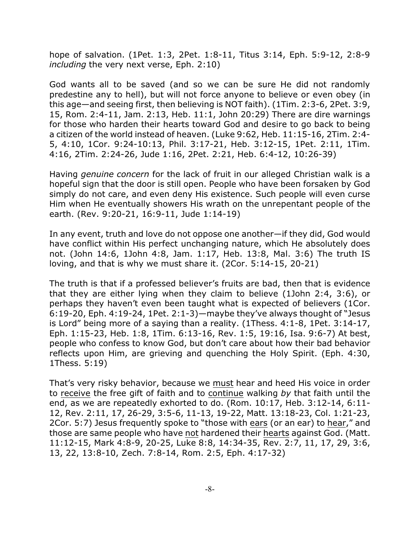hope of salvation. (1Pet. 1:3, 2Pet. 1:8-11, Titus 3:14, Eph. 5:9-12, 2:8-9 *including* the very next verse, Eph. 2:10)

God wants all to be saved (and so we can be sure He did not randomly predestine any to hell), but will not force anyone to believe or even obey (in this age—and seeing first, then believing is NOT faith). (1Tim. 2:3-6, 2Pet. 3:9, 15, Rom. 2:4-11, Jam. 2:13, Heb. 11:1, John 20:29) There are dire warnings for those who harden their hearts toward God and desire to go back to being a citizen of the world instead of heaven. (Luke 9:62, Heb. 11:15-16, 2Tim. 2:4- 5, 4:10, 1Cor. 9:24-10:13, Phil. 3:17-21, Heb. 3:12-15, 1Pet. 2:11, 1Tim. 4:16, 2Tim. 2:24-26, Jude 1:16, 2Pet. 2:21, Heb. 6:4-12, 10:26-39)

Having *genuine concern* for the lack of fruit in our alleged Christian walk is a hopeful sign that the door is still open. People who have been forsaken by God simply do not care, and even deny His existence. Such people will even curse Him when He eventually showers His wrath on the unrepentant people of the earth. (Rev. 9:20-21, 16:9-11, Jude 1:14-19)

In any event, truth and love do not oppose one another—if they did, God would have conflict within His perfect unchanging nature, which He absolutely does not. (John 14:6, 1John 4:8, Jam. 1:17, Heb. 13:8, Mal. 3:6) The truth IS loving, and that is why we must share it. (2Cor. 5:14-15, 20-21)

The truth is that if a professed believer's fruits are bad, then that is evidence that they are either lying when they claim to believe (1John 2:4, 3:6), or perhaps they haven't even been taught what is expected of believers (1Cor. 6:19-20, Eph. 4:19-24, 1Pet. 2:1-3)—maybe they've always thought of "Jesus is Lord" being more of a saying than a reality. (1Thess. 4:1-8, 1Pet. 3:14-17, Eph. 1:15-23, Heb. 1:8, 1Tim. 6:13-16, Rev. 1:5, 19:16, Isa. 9:6-7) At best, people who confess to know God, but don't care about how their bad behavior reflects upon Him, are grieving and quenching the Holy Spirit. (Eph. 4:30, 1Thess. 5:19)

That's very risky behavior, because we must hear and heed His voice in order to receive the free gift of faith and to continue walking *by* that faith until the end, as we are repeatedly exhorted to do. (Rom. 10:17, Heb. 3:12-14, 6:11- 12, Rev. 2:11, 17, 26-29, 3:5-6, 11-13, 19-22, Matt. 13:18-23, Col. 1:21-23, 2Cor. 5:7) Jesus frequently spoke to "those with ears (or an ear) to hear," and those are same people who have not hardened their hearts against God. (Matt. 11:12-15, Mark 4:8-9, 20-25, Luke 8:8, 14:34-35, Rev. 2:7, 11, 17, 29, 3:6, 13, 22, 13:8-10, Zech. 7:8-14, Rom. 2:5, Eph. 4:17-32)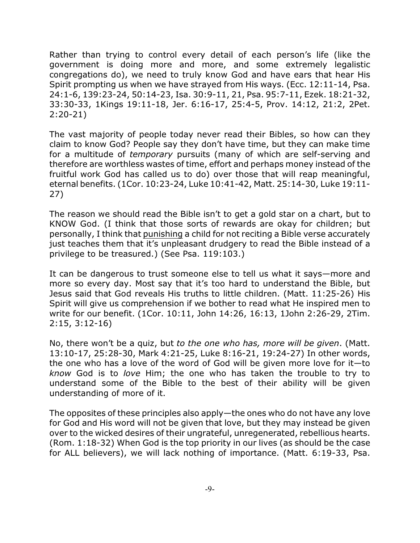Rather than trying to control every detail of each person's life (like the government is doing more and more, and some extremely legalistic congregations do), we need to truly know God and have ears that hear His Spirit prompting us when we have strayed from His ways. (Ecc. 12:11-14, Psa. 24:1-6, 139:23-24, 50:14-23, Isa. 30:9-11, 21, Psa. 95:7-11, Ezek. 18:21-32, 33:30-33, 1Kings 19:11-18, Jer. 6:16-17, 25:4-5, Prov. 14:12, 21:2, 2Pet. 2:20-21)

The vast majority of people today never read their Bibles, so how can they claim to know God? People say they don't have time, but they can make time for a multitude of *temporary* pursuits (many of which are self-serving and therefore are worthless wastes of time, effort and perhaps money instead of the fruitful work God has called us to do) over those that will reap meaningful, eternal benefits. (1Cor. 10:23-24, Luke 10:41-42, Matt. 25:14-30, Luke 19:11- 27)

The reason we should read the Bible isn't to get a gold star on a chart, but to KNOW God. (I think that those sorts of rewards are okay for children; but personally, I think that punishing a child for not reciting a Bible verse accurately just teaches them that it's unpleasant drudgery to read the Bible instead of a privilege to be treasured.) (See Psa. 119:103.)

It can be dangerous to trust someone else to tell us what it says—more and more so every day. Most say that it's too hard to understand the Bible, but Jesus said that God reveals His truths to little children. (Matt. 11:25-26) His Spirit will give us comprehension if we bother to read what He inspired men to write for our benefit. (1Cor. 10:11, John 14:26, 16:13, 1John 2:26-29, 2Tim. 2:15, 3:12-16)

No, there won't be a quiz, but *to the one who has, more will be given*. (Matt. 13:10-17, 25:28-30, Mark 4:21-25, Luke 8:16-21, 19:24-27) In other words, the one who has a love of the word of God will be given more love for it—to *know* God is to *love* Him; the one who has taken the trouble to try to understand some of the Bible to the best of their ability will be given understanding of more of it.

The opposites of these principles also apply—the ones who do not have any love for God and His word will not be given that love, but they may instead be given over to the wicked desires of their ungrateful, unregenerated, rebellious hearts. (Rom. 1:18-32) When God is the top priority in our lives (as should be the case for ALL believers), we will lack nothing of importance. (Matt. 6:19-33, Psa.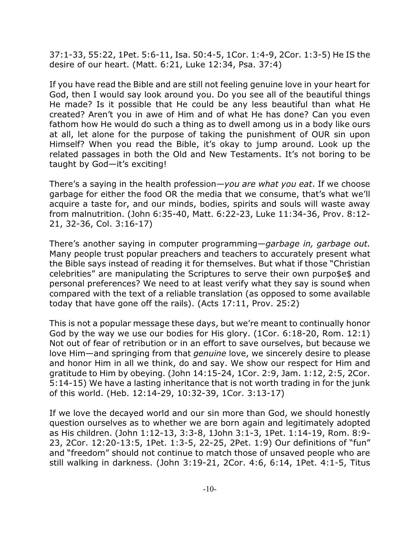37:1-33, 55:22, 1Pet. 5:6-11, Isa. 50:4-5, 1Cor. 1:4-9, 2Cor. 1:3-5) He IS the desire of our heart. (Matt. 6:21, Luke 12:34, Psa. 37:4)

If you have read the Bible and are still not feeling genuine love in your heart for God, then I would say look around you. Do you see all of the beautiful things He made? Is it possible that He could be any less beautiful than what He created? Aren't you in awe of Him and of what He has done? Can you even fathom how He would do such a thing as to dwell among us in a body like ours at all, let alone for the purpose of taking the punishment of OUR sin upon Himself? When you read the Bible, it's okay to jump around. Look up the related passages in both the Old and New Testaments. It's not boring to be taught by God—it's exciting!

There's a saying in the health profession—*you are what you eat*. If we choose garbage for either the food OR the media that we consume, that's what we'll acquire a taste for, and our minds, bodies, spirits and souls will waste away from malnutrition. (John 6:35-40, Matt. 6:22-23, Luke 11:34-36, Prov. 8:12- 21, 32-36, Col. 3:16-17)

There's another saying in computer programming—*garbage in, garbage out.* Many people trust popular preachers and teachers to accurately present what the Bible says instead of reading it for themselves. But what if those "Christian celebrities" are manipulating the Scriptures to serve their own purpo\$e\$ and personal preferences? We need to at least verify what they say is sound when compared with the text of a reliable translation (as opposed to some available today that have gone off the rails). (Acts 17:11, Prov. 25:2)

This is not a popular message these days, but we're meant to continually honor God by the way we use our bodies for His glory. (1Cor. 6:18-20, Rom. 12:1) Not out of fear of retribution or in an effort to save ourselves, but because we love Him—and springing from that *genuine* love, we sincerely desire to please and honor Him in all we think, do and say. We show our respect for Him and gratitude to Him by obeying. (John 14:15-24, 1Cor. 2:9, Jam. 1:12, 2:5, 2Cor. 5:14-15) We have a lasting inheritance that is not worth trading in for the junk of this world. (Heb. 12:14-29, 10:32-39, 1Cor. 3:13-17)

If we love the decayed world and our sin more than God, we should honestly question ourselves as to whether we are born again and legitimately adopted as His children. (John 1:12-13, 3:3-8, 1John 3:1-3, 1Pet. 1:14-19, Rom. 8:9- 23, 2Cor. 12:20-13:5, 1Pet. 1:3-5, 22-25, 2Pet. 1:9) Our definitions of "fun" and "freedom" should not continue to match those of unsaved people who are still walking in darkness. (John 3:19-21, 2Cor. 4:6, 6:14, 1Pet. 4:1-5, Titus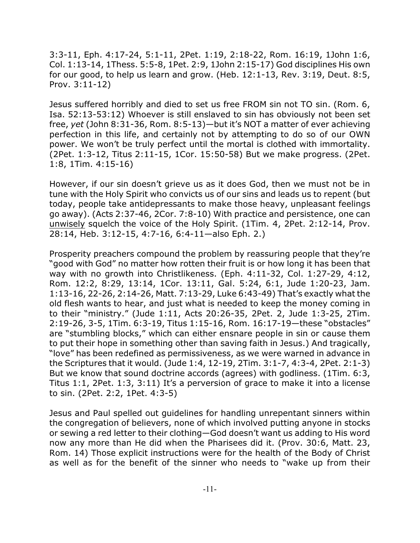3:3-11, Eph. 4:17-24, 5:1-11, 2Pet. 1:19, 2:18-22, Rom. 16:19, 1John 1:6, Col. 1:13-14, 1Thess. 5:5-8, 1Pet. 2:9, 1John 2:15-17) God disciplines His own for our good, to help us learn and grow. (Heb. 12:1-13, Rev. 3:19, Deut. 8:5, Prov. 3:11-12)

Jesus suffered horribly and died to set us free FROM sin not TO sin. (Rom. 6, Isa. 52:13-53:12) Whoever is still enslaved to sin has obviously not been set free, *yet* (John 8:31-36, Rom. 8:5-13)—but it's NOT a matter of ever achieving perfection in this life, and certainly not by attempting to do so of our OWN power. We won't be truly perfect until the mortal is clothed with immortality. (2Pet. 1:3-12, Titus 2:11-15, 1Cor. 15:50-58) But we make progress. (2Pet. 1:8, 1Tim. 4:15-16)

However, if our sin doesn't grieve us as it does God, then we must not be in tune with the Holy Spirit who convicts us of our sins and leads us to repent (but today, people take antidepressants to make those heavy, unpleasant feelings go away). (Acts 2:37-46, 2Cor. 7:8-10) With practice and persistence, one can unwisely squelch the voice of the Holy Spirit. (1Tim. 4, 2Pet. 2:12-14, Prov. 28:14, Heb. 3:12-15, 4:7-16, 6:4-11—also Eph. 2.)

Prosperity preachers compound the problem by reassuring people that they're "good with God" no matter how rotten their fruit is or how long it has been that way with no growth into Christlikeness. (Eph. 4:11-32, Col. 1:27-29, 4:12, Rom. 12:2, 8:29, 13:14, 1Cor. 13:11, Gal. 5:24, 6:1, Jude 1:20-23, Jam. 1:13-16, 22-26, 2:14-26, Matt. 7:13-29, Luke 6:43-49) That's exactly what the old flesh wants to hear, and just what is needed to keep the money coming in to their "ministry." (Jude 1:11, Acts 20:26-35, 2Pet. 2, Jude 1:3-25, 2Tim. 2:19-26, 3-5, 1Tim. 6:3-19, Titus 1:15-16, Rom. 16:17-19—these "obstacles" are "stumbling blocks," which can either ensnare people in sin or cause them to put their hope in something other than saving faith in Jesus.) And tragically, "love" has been redefined as permissiveness, as we were warned in advance in the Scriptures that it would. (Jude 1:4, 12-19, 2Tim. 3:1-7, 4:3-4, 2Pet. 2:1-3) But we know that sound doctrine accords (agrees) with godliness. (1Tim. 6:3, Titus 1:1, 2Pet. 1:3, 3:11) It's a perversion of grace to make it into a license to sin. (2Pet. 2:2, 1Pet. 4:3-5)

Jesus and Paul spelled out guidelines for handling unrepentant sinners within the congregation of believers, none of which involved putting anyone in stocks or sewing a red letter to their clothing—God doesn't want us adding to His word now any more than He did when the Pharisees did it. (Prov. 30:6, Matt. 23, Rom. 14) Those explicit instructions were for the health of the Body of Christ as well as for the benefit of the sinner who needs to "wake up from their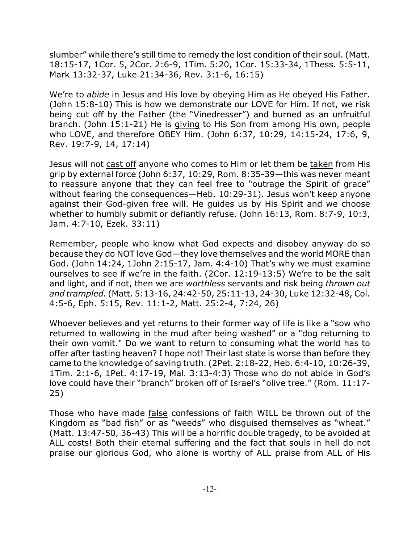slumber" while there's still time to remedy the lost condition of their soul. (Matt. 18:15-17, 1Cor. 5, 2Cor. 2:6-9, 1Tim. 5:20, 1Cor. 15:33-34, 1Thess. 5:5-11, Mark 13:32-37, Luke 21:34-36, Rev. 3:1-6, 16:15)

We're to *abide* in Jesus and His love by obeying Him as He obeyed His Father. (John 15:8-10) This is how we demonstrate our LOVE for Him. If not, we risk being cut off by the Father (the "Vinedresser") and burned as an unfruitful branch. (John 15:1-21) He is giving to His Son from among His own, people who LOVE, and therefore OBEY Him. (John 6:37, 10:29, 14:15-24, 17:6, 9, Rev. 19:7-9, 14, 17:14)

Jesus will not cast off anyone who comes to Him or let them be taken from His grip by external force (John 6:37, 10:29, Rom. 8:35-39—this was never meant to reassure anyone that they can feel free to "outrage the Spirit of grace" without fearing the consequences—Heb. 10:29-31). Jesus won't keep anyone against their God-given free will. He guides us by His Spirit and we choose whether to humbly submit or defiantly refuse. (John 16:13, Rom. 8:7-9, 10:3, Jam. 4:7-10, Ezek. 33:11)

Remember, people who know what God expects and disobey anyway do so because they do NOT love God—they love themselves and the world MORE than God. (John 14:24, 1John 2:15-17, Jam. 4:4-10) That's why we must examine ourselves to see if we're in the faith. (2Cor. 12:19-13:5) We're to be the salt and light, and if not, then we are *worthless* servants and risk being *thrown out and trampled*. (Matt. 5:13-16, 24:42-50, 25:11-13, 24-30, Luke 12:32-48, Col. 4:5-6, Eph. 5:15, Rev. 11:1-2, Matt. 25:2-4, 7:24, 26)

Whoever believes and yet returns to their former way of life is like a "sow who returned to wallowing in the mud after being washed" or a "dog returning to their own vomit." Do we want to return to consuming what the world has to offer after tasting heaven? I hope not! Their last state is worse than before they came to the knowledge of saving truth. (2Pet. 2:18-22, Heb. 6:4-10, 10:26-39, 1Tim. 2:1-6, 1Pet. 4:17-19, Mal. 3:13-4:3) Those who do not abide in God's love could have their "branch" broken off of Israel's "olive tree." (Rom. 11:17- 25)

Those who have made false confessions of faith WILL be thrown out of the Kingdom as "bad fish" or as "weeds" who disguised themselves as "wheat." (Matt. 13:47-50, 36-43) This will be a horrific double tragedy, to be avoided at ALL costs! Both their eternal suffering and the fact that souls in hell do not praise our glorious God, who alone is worthy of ALL praise from ALL of His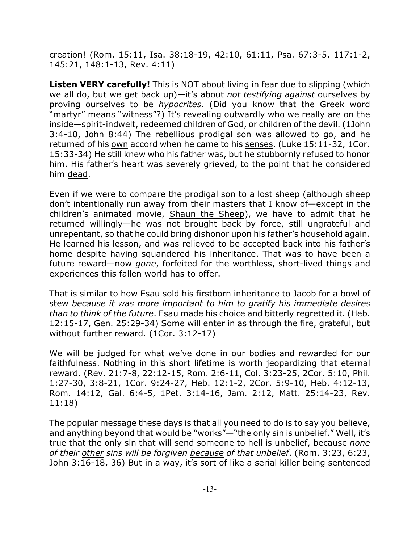creation! (Rom. 15:11, Isa. 38:18-19, 42:10, 61:11, Psa. 67:3-5, 117:1-2, 145:21, 148:1-13, Rev. 4:11)

**Listen VERY carefully!** This is NOT about living in fear due to slipping (which we all do, but we get back up)—it's about *not testifying against* ourselves by proving ourselves to be *hypocrites*. (Did you know that the Greek word "martyr" means "witness"?) It's revealing outwardly who we really are on the inside—spirit-indwelt, redeemed children of God, or children of the devil. (1John 3:4-10, John 8:44) The rebellious prodigal son was allowed to go, and he returned of his own accord when he came to his senses. (Luke 15:11-32, 1Cor. 15:33-34) He still knew who his father was, but he stubbornly refused to honor him. His father's heart was severely grieved, to the point that he considered him dead.

Even if we were to compare the prodigal son to a lost sheep (although sheep don't intentionally run away from their masters that I know of—except in the children's animated movie, Shaun the Sheep), we have to admit that he returned willingly—he was not brought back by force, still ungrateful and unrepentant, so that he could bring dishonor upon his father's household again. He learned his lesson, and was relieved to be accepted back into his father's home despite having squandered his inheritance. That was to have been a future reward—now *gone*, forfeited for the worthless, short-lived things and experiences this fallen world has to offer.

That is similar to how Esau sold his firstborn inheritance to Jacob for a bowl of stew *because it was more important to him to gratify his immediate desires than to think of the future*. Esau made his choice and bitterly regretted it. (Heb. 12:15-17, Gen. 25:29-34) Some will enter in as through the fire, grateful, but without further reward. (1Cor. 3:12-17)

We will be judged for what we've done in our bodies and rewarded for our faithfulness. Nothing in this short lifetime is worth jeopardizing that eternal reward. (Rev. 21:7-8, 22:12-15, Rom. 2:6-11, Col. 3:23-25, 2Cor. 5:10, Phil. 1:27-30, 3:8-21, 1Cor. 9:24-27, Heb. 12:1-2, 2Cor. 5:9-10, Heb. 4:12-13, Rom. 14:12, Gal. 6:4-5, 1Pet. 3:14-16, Jam. 2:12, Matt. 25:14-23, Rev. 11:18)

The popular message these days is that all you need to do is to say you believe, and anything beyond that would be "works"—"the only sin is unbelief." Well, it's true that the only sin that will send someone to hell is unbelief, because *none of their other sins will be forgiven because of that unbelief*. (Rom. 3:23, 6:23, John 3:16-18, 36) But in a way, it's sort of like a serial killer being sentenced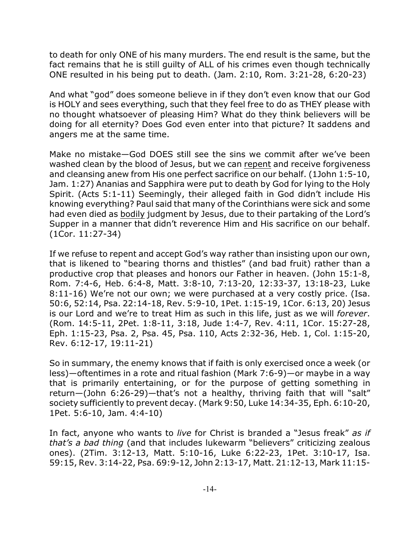to death for only ONE of his many murders. The end result is the same, but the fact remains that he is still guilty of ALL of his crimes even though technically ONE resulted in his being put to death. (Jam. 2:10, Rom. 3:21-28, 6:20-23)

And what "god" does someone believe in if they don't even know that our God is HOLY and sees everything, such that they feel free to do as THEY please with no thought whatsoever of pleasing Him? What do they think believers will be doing for all eternity? Does God even enter into that picture? It saddens and angers me at the same time.

Make no mistake—God DOES still see the sins we commit after we've been washed clean by the blood of Jesus, but we can repent and receive forgiveness and cleansing anew from His one perfect sacrifice on our behalf. (1John 1:5-10, Jam. 1:27) Ananias and Sapphira were put to death by God for lying to the Holy Spirit. (Acts 5:1-11) Seemingly, their alleged faith in God didn't include His knowing everything? Paul said that many of the Corinthians were sick and some had even died as bodily judgment by Jesus, due to their partaking of the Lord's Supper in a manner that didn't reverence Him and His sacrifice on our behalf. (1Cor. 11:27-34)

If we refuse to repent and accept God's way rather than insisting upon our own, that is likened to "bearing thorns and thistles" (and bad fruit) rather than a productive crop that pleases and honors our Father in heaven. (John 15:1-8, Rom. 7:4-6, Heb. 6:4-8, Matt. 3:8-10, 7:13-20, 12:33-37, 13:18-23, Luke 8:11-16) We're not our own; we were purchased at a very costly price. (Isa. 50:6, 52:14, Psa. 22:14-18, Rev. 5:9-10, 1Pet. 1:15-19, 1Cor. 6:13, 20) Jesus is our Lord and we're to treat Him as such in this life, just as we will *forever*. (Rom. 14:5-11, 2Pet. 1:8-11, 3:18, Jude 1:4-7, Rev. 4:11, 1Cor. 15:27-28, Eph. 1:15-23, Psa. 2, Psa. 45, Psa. 110, Acts 2:32-36, Heb. 1, Col. 1:15-20, Rev. 6:12-17, 19:11-21)

So in summary, the enemy knows that if faith is only exercised once a week (or less)—oftentimes in a rote and ritual fashion (Mark 7:6-9)—or maybe in a way that is primarily entertaining, or for the purpose of getting something in return—(John 6:26-29)—that's not a healthy, thriving faith that will "salt" society sufficiently to prevent decay. (Mark 9:50, Luke 14:34-35, Eph. 6:10-20, 1Pet. 5:6-10, Jam. 4:4-10)

In fact, anyone who wants to *live* for Christ is branded a "Jesus freak" *as if that's a bad thing* (and that includes lukewarm "believers" criticizing zealous ones). (2Tim. 3:12-13, Matt. 5:10-16, Luke 6:22-23, 1Pet. 3:10-17, Isa. 59:15, Rev. 3:14-22, Psa. 69:9-12, John 2:13-17, Matt. 21:12-13, Mark 11:15-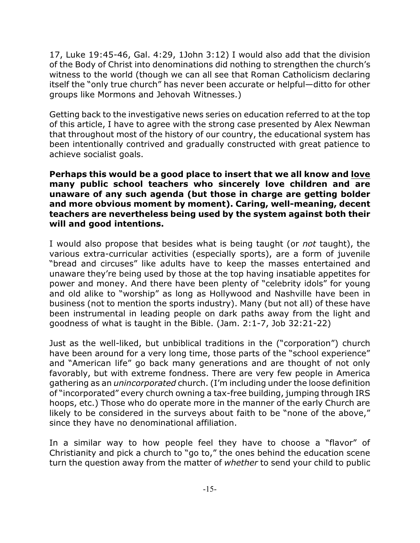17, Luke 19:45-46, Gal. 4:29, 1John 3:12) I would also add that the division of the Body of Christ into denominations did nothing to strengthen the church's witness to the world (though we can all see that Roman Catholicism declaring itself the "only true church" has never been accurate or helpful—ditto for other groups like Mormons and Jehovah Witnesses.)

Getting back to the investigative news series on education referred to at the top of this article, I have to agree with the strong case presented by Alex Newman that throughout most of the history of our country, the educational system has been intentionally contrived and gradually constructed with great patience to achieve socialist goals.

**Perhaps this would be a good place to insert that we all know and love many public school teachers who sincerely love children and are unaware of any such agenda (but those in charge are getting bolder and more obvious moment by moment). Caring, well-meaning, decent teachers are nevertheless being used by the system against both their will and good intentions.**

I would also propose that besides what is being taught (or *not* taught), the various extra-curricular activities (especially sports), are a form of juvenile "bread and circuses" like adults have to keep the masses entertained and unaware they're being used by those at the top having insatiable appetites for power and money. And there have been plenty of "celebrity idols" for young and old alike to "worship" as long as Hollywood and Nashville have been in business (not to mention the sports industry). Many (but not all) of these have been instrumental in leading people on dark paths away from the light and goodness of what is taught in the Bible. (Jam. 2:1-7, Job 32:21-22)

Just as the well-liked, but unbiblical traditions in the ("corporation") church have been around for a very long time, those parts of the "school experience" and "American life" go back many generations and are thought of not only favorably, but with extreme fondness. There are very few people in America gathering as an *unincorporated* church. (I'm including under the loose definition of "incorporated" every church owning a tax-free building, jumping through IRS hoops, etc.) Those who do operate more in the manner of the early Church are likely to be considered in the surveys about faith to be "none of the above," since they have no denominational affiliation.

In a similar way to how people feel they have to choose a "flavor" of Christianity and pick a church to "go to," the ones behind the education scene turn the question away from the matter of *whether* to send your child to public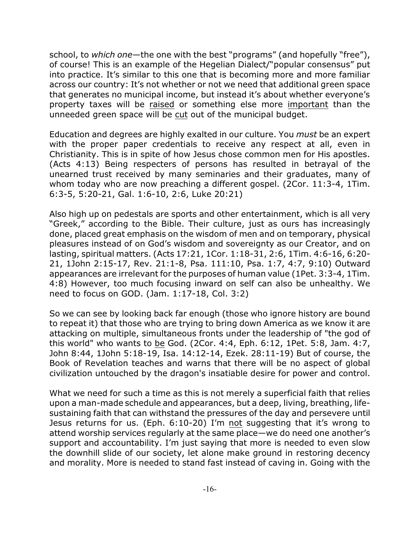school, to *which one*—the one with the best "programs" (and hopefully "free"), of course! This is an example of the Hegelian Dialect/"popular consensus" put into practice. It's similar to this one that is becoming more and more familiar across our country: It's not whether or not we need that additional green space that generates no municipal income, but instead it's about whether everyone's property taxes will be raised or something else more important than the unneeded green space will be cut out of the municipal budget.

Education and degrees are highly exalted in our culture. You *must* be an expert with the proper paper credentials to receive any respect at all, even in Christianity. This is in spite of how Jesus chose common men for His apostles. (Acts 4:13) Being respecters of persons has resulted in betrayal of the unearned trust received by many seminaries and their graduates, many of whom today who are now preaching a different gospel. (2Cor. 11:3-4, 1Tim. 6:3-5, 5:20-21, Gal. 1:6-10, 2:6, Luke 20:21)

Also high up on pedestals are sports and other entertainment, which is all very "Greek," according to the Bible. Their culture, just as ours has increasingly done, placed great emphasis on the wisdom of men and on temporary, physical pleasures instead of on God's wisdom and sovereignty as our Creator, and on lasting, spiritual matters. (Acts 17:21, 1Cor. 1:18-31, 2:6, 1Tim. 4:6-16, 6:20- 21, 1John 2:15-17, Rev. 21:1-8, Psa. 111:10, Psa. 1:7, 4:7, 9:10) Outward appearances are irrelevant for the purposes of human value (1Pet. 3:3-4, 1Tim. 4:8) However, too much focusing inward on self can also be unhealthy. We need to focus on GOD. (Jam. 1:17-18, Col. 3:2)

So we can see by looking back far enough (those who ignore history are bound to repeat it) that those who are trying to bring down America as we know it are attacking on multiple, simultaneous fronts under the leadership of "the god of this world" who wants to be God. (2Cor. 4:4, Eph. 6:12, 1Pet. 5:8, Jam. 4:7, John 8:44, 1John 5:18-19, Isa. 14:12-14, Ezek. 28:11-19) But of course, the Book of Revelation teaches and warns that there will be no aspect of global civilization untouched by the dragon's insatiable desire for power and control.

What we need for such a time as this is not merely a superficial faith that relies upon a man-made schedule and appearances, but a deep, living, breathing, lifesustaining faith that can withstand the pressures of the day and persevere until Jesus returns for us. (Eph. 6:10-20) I'm not suggesting that it's wrong to attend worship services regularly at the same place—we do need one another's support and accountability. I'm just saying that more is needed to even slow the downhill slide of our society, let alone make ground in restoring decency and morality. More is needed to stand fast instead of caving in. Going with the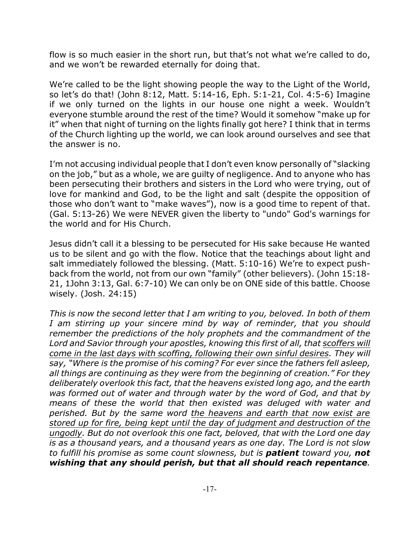flow is so much easier in the short run, but that's not what we're called to do, and we won't be rewarded eternally for doing that.

We're called to be the light showing people the way to the Light of the World, so let's do that! (John 8:12, Matt. 5:14-16, Eph. 5:1-21, Col. 4:5-6) Imagine if we only turned on the lights in our house one night a week. Wouldn't everyone stumble around the rest of the time? Would it somehow "make up for it" when that night of turning on the lights finally got here? I think that in terms of the Church lighting up the world, we can look around ourselves and see that the answer is no.

I'm not accusing individual people that I don't even know personally of "slacking on the job," but as a whole, we are guilty of negligence. And to anyone who has been persecuting their brothers and sisters in the Lord who were trying, out of love for mankind and God, to be the light and salt (despite the opposition of those who don't want to "make waves"), now is a good time to repent of that. (Gal. 5:13-26) We were NEVER given the liberty to "undo" God's warnings for the world and for His Church.

Jesus didn't call it a blessing to be persecuted for His sake because He wanted us to be silent and go with the flow. Notice that the teachings about light and salt immediately followed the blessing. (Matt. 5:10-16) We're to expect pushback from the world, not from our own "family" (other believers). (John 15:18- 21, 1John 3:13, Gal. 6:7-10) We can only be on ONE side of this battle. Choose wisely. (Josh. 24:15)

*This is now the second letter that I am writing to you, beloved. In both of them I am stirring up your sincere mind by way of reminder, that you should remember the predictions of the holy prophets and the commandment of the Lord and Savior through your apostles, knowing this first of all, that scoffers will come in the last days with scoffing, following their own sinful desires. They will say, "Where is the promise of his coming? For ever since the fathers fell asleep, all things are continuing as they were from the beginning of creation." For they deliberately overlook this fact, that the heavens existed long ago, and the earth was formed out of water and through water by the word of God, and that by means of these the world that then existed was deluged with water and perished. But by the same word the heavens and earth that now exist are stored up for fire, being kept until the day of judgment and destruction of the ungodly. But do not overlook this one fact, beloved, that with the Lord one day is as a thousand years, and a thousand years as one day. The Lord is not slow to fulfill his promise as some count slowness, but is patient toward you, not wishing that any should perish, but that all should reach repentance.*